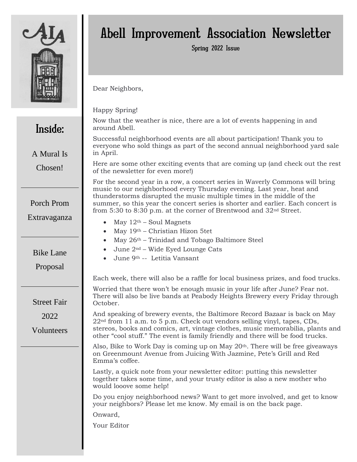

Inside:

A Mural Is

Chosen!

Porch Prom

Extravaganza

# Abell Improvement Association Newsletter

Spring 2022 Issue

Dear Neighbors,

Happy Spring!

Now that the weather is nice, there are a lot of events happening in and around Abell.

Successful neighborhood events are all about participation! Thank you to everyone who sold things as part of the second annual neighborhood yard sale in April.

Here are some other exciting events that are coming up (and check out the rest of the newsletter for even more!)

For the second year in a row, a concert series in Waverly Commons will bring music to our neighborhood every Thursday evening. Last year, heat and thunderstorms disrupted the music multiple times in the middle of the summer, so this year the concert series is shorter and earlier. Each concert is from 5:30 to 8:30 p.m. at the corner of Brentwood and 32nd Street.

- May  $12<sup>th</sup>$  Soul Magnets
- May 19th Christian Hizon 5tet
- May 26<sup>th</sup> Trinidad and Tobago Baltimore Steel
- June 2nd Wide Eyed Lounge Cats
- June 9th -- Letitia Vansant

Each week, there will also be a raffle for local business prizes, and food trucks.

Worried that there won't be enough music in your life after June? Fear not. There will also be live bands at Peabody Heights Brewery every Friday through October.

And speaking of brewery events, the Baltimore Record Bazaar is back on May  $22<sup>nd</sup>$  from 11 a.m. to 5 p.m. Check out vendors selling vinyl, tapes, CDs, stereos, books and comics, art, vintage clothes, music memorabilia, plants and other "cool stuff." The event is family friendly and there will be food trucks.

Also, Bike to Work Day is coming up on May 20th. There will be free giveaways on Greenmount Avenue from Juicing With Jazmine, Pete's Grill and Red Emma's coffee.

Lastly, a quick note from your newsletter editor: putting this newsletter together takes some time, and your trusty editor is also a new mother who would looove some help!

Do you enjoy neighborhood news? Want to get more involved, and get to know your neighbors? Please let me know. My email is on the back page.

Onward,

Your Editor

Bike Lane

Proposal

Street Fair

2022

Volunteers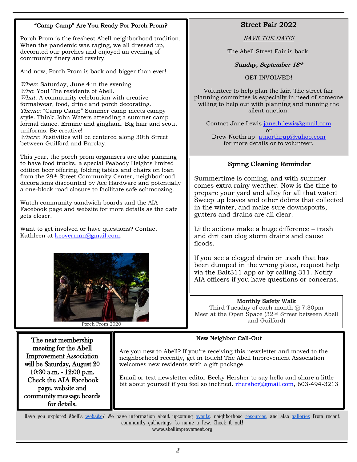# "Camp Camp" Are You Ready For Porch Prom?

Porch Prom is the freshest Abell neighborhood tradition. When the pandemic was raging, we all dressed up, decorated our porches and enjoyed an evening of community finery and revelry.

And now, Porch Prom is back and bigger than ever!

When: Saturday, June 4 in the evening Who: You! The residents of Abell. What: A community celebration with creative formalwear, food, drink and porch decorating. Theme: "Camp Camp" Summer camp meets campy style. Think John Waters attending a summer camp formal dance. Ermine and gingham. Big hair and scout uniforms. Be creative! Where: Festivities will be centered along 30th Street between Guilford and Barclay.

This year, the porch prom organizers are also planning to have food trucks, a special Peabody Heights limited edition beer offering, folding tables and chairs on loan from the 29th Street Community Center, neighborhood decorations discounted by Ace Hardware and potentially a one-block road closure to facilitate safe schmoozing.

Watch community sandwich boards and the AIA Facebook page and website for more details as the date gets closer.

Want to get involved or have questions? Contact Kathleen at [keoverman@gmail.com.](about:blank)



Porch Prom 2020

The next membership meeting for the Abell Improvement Association will be Saturday, August 20 10:30 a.m. - 12:00 p.m. Check the AIA Facebook page, website and community message boards for details.

# Street Fair 2022

SAVE THE DATE!

The Abell Street Fair is back.

#### Sunday, September 18th

GET INVOLVED!

Volunteer to help plan the fair. The street fair planning committee is especially in need of someone willing to help out with planning and running the silent auction.

Contact Jane Lewis [jane.h.lewis@gmail.com](about:blank) or Drew Northrup [atnorthrup@yahoo.com](about:blank) for more details or to volunteer.

## Spring Cleaning Reminder

Summertime is coming, and with summer comes extra rainy weather. Now is the time to prepare your yard and alley for all that water! Sweep up leaves and other debris that collected in the winter, and make sure downspouts, gutters and drains are all clear.

Little actions make a huge difference – trash and dirt can clog storm drains and cause floods.

If you see a clogged drain or trash that has been dumped in the wrong place, request help via the Balt311 app or by calling 311. Notify AIA officers if you have questions or concerns.

#### Monthly Safety Walk

Third Tuesday of each month  $@$  7:30pm Meet at the Open Space (32nd Street between Abell and Guilford)

### New Neighbor Call-Out

Are you new to Abell? If you're receiving this newsletter and moved to the neighborhood recently, get in touch! The Abell Improvement Association welcomes new residents with a gift package.

Email or text newsletter editor Becky Hersher to say hello and share a little bit about yourself if you feel so inclined. [rhersher@gmail.com,](about:blank) 603-494-3213

Have you explored Abell's [website?](about:blank) We have information about upcoming [events,](about:blank) neighborhood [resources,](about:blank) and also [galleries](about:blank) from recent community gatherings, to name a few. Check it out! www.abellimprovement.org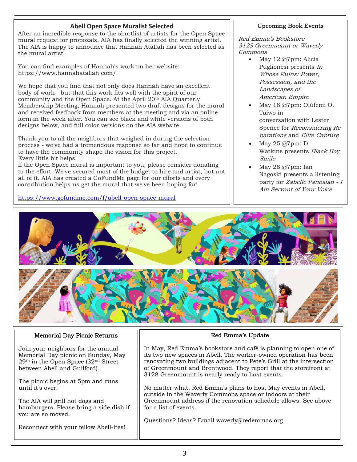## **Abell Open Space Muralist Selected**

After an incredible response to the shortlist of artists for the Open Space mural request for proposals, AIA has finally selected the winning artist. The AIA is happy to announce that Hannah Atallah has been selected as the mural artist!

You can find examples of Hannah's work on her website: https://www.hannahatallah.com/

We hope that you find that not only does Hannah have an excellent body of work - but that this work fits well with the spirit of our community and the Open Space. At the April 20<sup>th</sup> AIA Quarterly Membership Meeting, Hannah presented two draft designs for the mural and received feedback from members at the meeting and via an online form in the week after. You can see black and white versions of both designs below, and full color versions on the AIA website.

Thank you to all the neighbors that weighed in during the selection process - we've had a tremendous response so far and hope to continue to have the community shape the vision for this project. Every little bit helps!

If the Open Space mural is important to you, please consider donating to the effort. We've secured most of the budget to hire and artist, but not all of it. AIA has created a GoFundMe page for our efforts and every contribution helps us get the mural that we've been hoping for!

[https://www.gofundme.com/f/abell-open-space-mural](about:blank)

#### Upcoming Book Events

Red Emma's Bookstore 3128 Greenmount or Waverly Commons

- May 12 @7pm: Alicia Puglionesi presents In Whose Ruins: Power, Possession, and the Landscapes of American Empire
- May 18 @7pm: Olúfemi O. Táíwò in conversation with Lester Spence for Reconsidering Re parations and Elite Capture
- May 25 @7pm: D. Watkins presents Black Boy Smile
- May 28 @7pm: Ian Nagoski presents a listening party for Zabelle Panosian - <sup>I</sup> Am Servant of Your Voice



#### Memorial Day Picnic Returns

Join your neighbors for the annual Memorial Day picnic on Sunday, May 29th in the Open Space (32nd Street between Abell and Guilford).

The picnic begins at 5pm and runs until it's over.

The AIA will grill hot dogs and hamburgers. Please bring a side dish if you are so moved.

Reconnect with your fellow Abell-ites!

# Red Emma's Update

In May, Red Emma's bookstore and café is planning to open one of its two new spaces in Abell. The worker-owned operation has been renovating two buildings adjacent to Pete's Grill at the intersection of Greenmount and Brentwood. They report that the storefront at 3128 Greenmount is nearly ready to host events.

No matter what, Red Emma's plans to host May events in Abell, outside in the Waverly Commons space or indoors at their Greenmount address if the renovation schedule allows. See above for a list of events.

Questions? Ideas? Email waverly@redemmas.org.